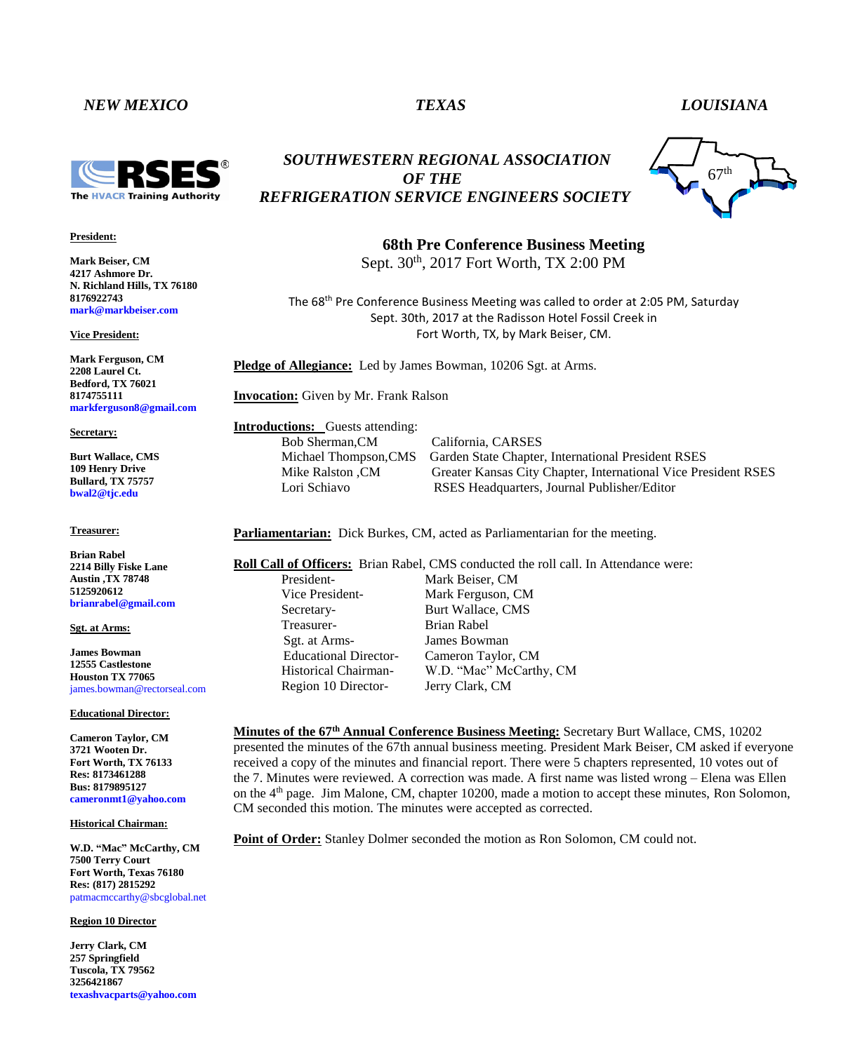# *NEW MEXICO TEXAS LOUISIANA*



## **President:**

**Mark Beiser, CM 4217 Ashmore Dr. N. Richland Hills, TX 76180 8176922743 mark@markbeiser.com**

**Vice President:**

**Mark Ferguson, CM 2208 Laurel Ct. Bedford, TX 76021 8174755111 markferguson8@gmail.com**

#### **Secretary:**

**Burt Wallace, CMS 109 Henry Drive Bullard, TX 75757 bwal2@tjc.edu**

**Treasurer:**

**Brian Rabel 2214 Billy Fiske Lane Austin ,TX 78748 5125920612 brianrabel@gmail.com**

#### **Sgt. at Arms:**

**James Bowman 12555 Castlestone Houston TX 77065** james.bowman@rectorseal.com

### **Educational Director:**

**Cameron Taylor, CM 3721 Wooten Dr. Fort Worth, TX 76133 Res: 8173461288 Bus: 8179895127 cameronmt1@yahoo.com**

### **Historical Chairman:**

**W.D. "Mac" McCarthy, CM 7500 Terry Court Fort Worth, Texas 76180 Res: (817) 2815292** patmacmccarthy@sbcglobal.net

**Region 10 Director**

**Jerry Clark, CM 257 Springfield Tuscola, TX 79562 3256421867 texashvacparts@yahoo.com**

# *SOUTHWESTERN REGIONAL ASSOCIATION OF THE REFRIGERATION SERVICE ENGINEERS SOCIETY*



**68th Pre Conference Business Meeting**  Sept.  $30<sup>th</sup>$ ,  $2017$  Fort Worth, TX 2:00 PM

> The 68<sup>th</sup> Pre Conference Business Meeting was called to order at 2:05 PM, Saturday Sept. 30th, 2017 at the Radisson Hotel Fossil Creek in Fort Worth, TX, by Mark Beiser, CM.

**Pledge of Allegiance:** Led by James Bowman, 10206 Sgt. at Arms.

**Invocation:** Given by Mr. Frank Ralson

**Introductions:** Guests attending: Bob Sherman,CM California, CARSES

Michael Thompson,CMS Garden State Chapter, International President RSES Mike Ralston ,CM Greater Kansas City Chapter, International Vice President RSES Lori Schiavo RSES Headquarters, Journal Publisher/Editor

**Parliamentarian:** Dick Burkes, CM, acted as Parliamentarian for the meeting.

**Roll Call of Officers:** Brian Rabel, CMS conducted the roll call. In Attendance were: President- Mark Beiser, CM Vice President- Mark Ferguson, CM Secretary-<br>Burt Wallace, CMS Treasurer- Brian Rabel Sgt. at Arms- James Bowman Educational Director- Cameron Taylor, CM Historical Chairman- W.D. "Mac" McCarthy, CM Region 10 Director- Jerry Clark, CM

**Minutes of the 67<sup>th</sup> Annual Conference Business Meeting:** Secretary Burt Wallace, CMS, 10202 presented the minutes of the 67th annual business meeting. President Mark Beiser, CM asked if everyone received a copy of the minutes and financial report. There were 5 chapters represented, 10 votes out of the 7. Minutes were reviewed. A correction was made. A first name was listed wrong – Elena was Ellen on the 4th page. Jim Malone, CM, chapter 10200, made a motion to accept these minutes, Ron Solomon, CM seconded this motion. The minutes were accepted as corrected.

**Point of Order:** Stanley Dolmer seconded the motion as Ron Solomon, CM could not.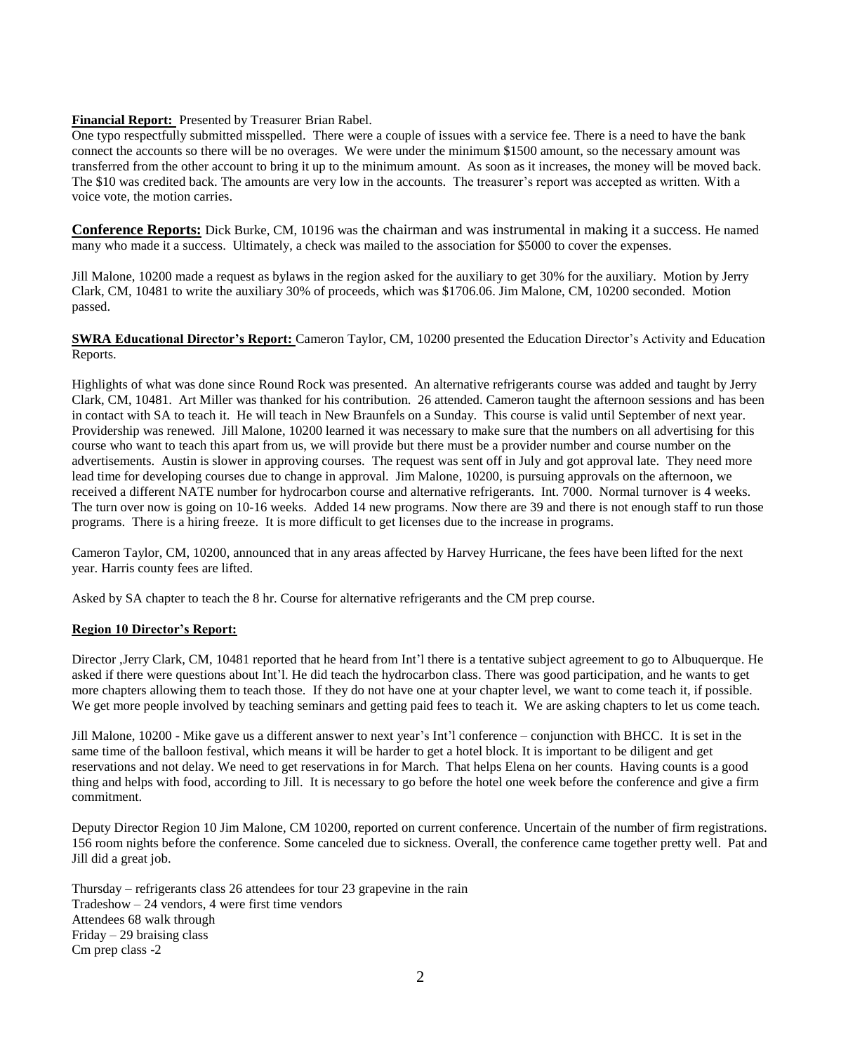# **Financial Report:** Presented by Treasurer Brian Rabel.

One typo respectfully submitted misspelled. There were a couple of issues with a service fee. There is a need to have the bank connect the accounts so there will be no overages. We were under the minimum \$1500 amount, so the necessary amount was transferred from the other account to bring it up to the minimum amount. As soon as it increases, the money will be moved back. The \$10 was credited back. The amounts are very low in the accounts. The treasurer's report was accepted as written. With a voice vote, the motion carries.

**Conference Reports:** Dick Burke, CM, 10196 was the chairman and was instrumental in making it a success. He named many who made it a success. Ultimately, a check was mailed to the association for \$5000 to cover the expenses.

Jill Malone, 10200 made a request as bylaws in the region asked for the auxiliary to get 30% for the auxiliary. Motion by Jerry Clark, CM, 10481 to write the auxiliary 30% of proceeds, which was \$1706.06. Jim Malone, CM, 10200 seconded. Motion passed.

**SWRA Educational Director's Report:** Cameron Taylor, CM, 10200 presented the Education Director's Activity and Education Reports.

Highlights of what was done since Round Rock was presented. An alternative refrigerants course was added and taught by Jerry Clark, CM, 10481. Art Miller was thanked for his contribution. 26 attended. Cameron taught the afternoon sessions and has been in contact with SA to teach it. He will teach in New Braunfels on a Sunday. This course is valid until September of next year. Providership was renewed. Jill Malone, 10200 learned it was necessary to make sure that the numbers on all advertising for this course who want to teach this apart from us, we will provide but there must be a provider number and course number on the advertisements. Austin is slower in approving courses. The request was sent off in July and got approval late. They need more lead time for developing courses due to change in approval. Jim Malone, 10200, is pursuing approvals on the afternoon, we received a different NATE number for hydrocarbon course and alternative refrigerants. Int. 7000. Normal turnover is 4 weeks. The turn over now is going on 10-16 weeks. Added 14 new programs. Now there are 39 and there is not enough staff to run those programs. There is a hiring freeze. It is more difficult to get licenses due to the increase in programs.

Cameron Taylor, CM, 10200, announced that in any areas affected by Harvey Hurricane, the fees have been lifted for the next year. Harris county fees are lifted.

Asked by SA chapter to teach the 8 hr. Course for alternative refrigerants and the CM prep course.

# **Region 10 Director's Report:**

Director ,Jerry Clark, CM, 10481 reported that he heard from Int'l there is a tentative subject agreement to go to Albuquerque. He asked if there were questions about Int'l. He did teach the hydrocarbon class. There was good participation, and he wants to get more chapters allowing them to teach those. If they do not have one at your chapter level, we want to come teach it, if possible. We get more people involved by teaching seminars and getting paid fees to teach it. We are asking chapters to let us come teach.

Jill Malone, 10200 - Mike gave us a different answer to next year's Int'l conference – conjunction with BHCC. It is set in the same time of the balloon festival, which means it will be harder to get a hotel block. It is important to be diligent and get reservations and not delay. We need to get reservations in for March. That helps Elena on her counts. Having counts is a good thing and helps with food, according to Jill. It is necessary to go before the hotel one week before the conference and give a firm commitment.

Deputy Director Region 10 Jim Malone, CM 10200, reported on current conference. Uncertain of the number of firm registrations. 156 room nights before the conference. Some canceled due to sickness. Overall, the conference came together pretty well. Pat and Jill did a great job.

Thursday – refrigerants class 26 attendees for tour 23 grapevine in the rain Tradeshow – 24 vendors, 4 were first time vendors Attendees 68 walk through Friday – 29 braising class Cm prep class -2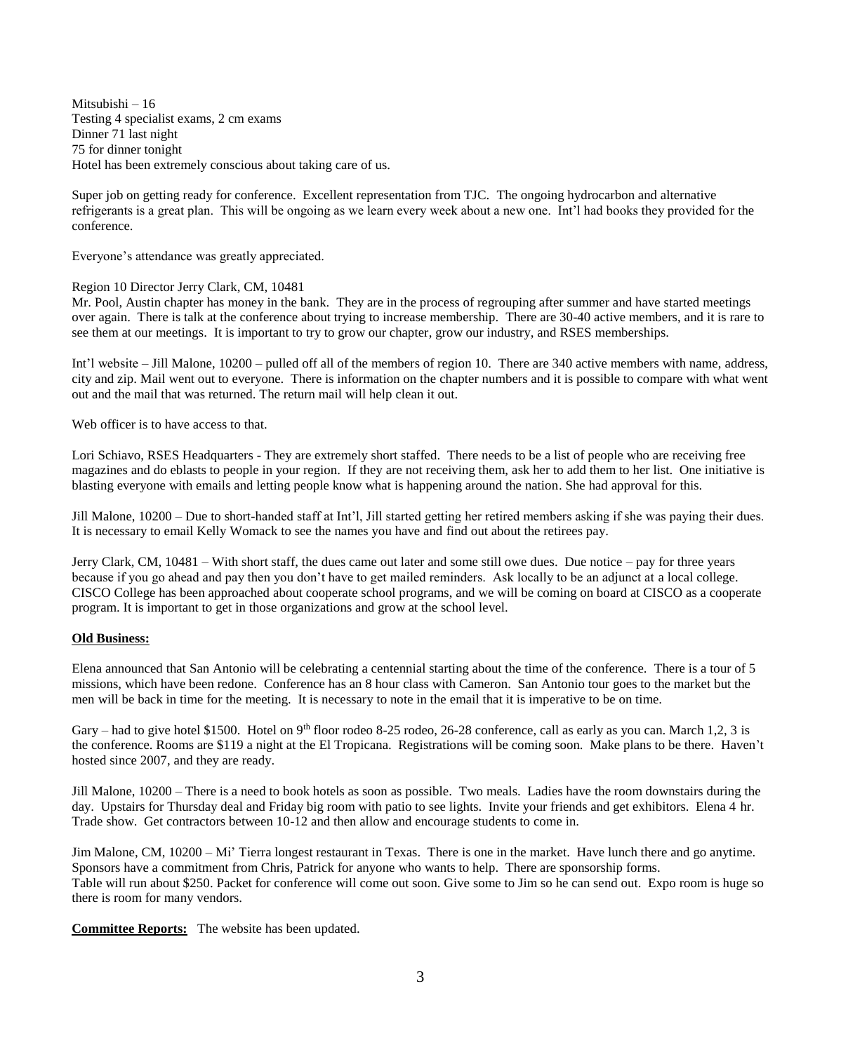Mitsubishi – 16 Testing 4 specialist exams, 2 cm exams Dinner 71 last night 75 for dinner tonight Hotel has been extremely conscious about taking care of us.

Super job on getting ready for conference. Excellent representation from TJC. The ongoing hydrocarbon and alternative refrigerants is a great plan. This will be ongoing as we learn every week about a new one. Int'l had books they provided for the conference.

Everyone's attendance was greatly appreciated.

# Region 10 Director Jerry Clark, CM, 10481

Mr. Pool, Austin chapter has money in the bank. They are in the process of regrouping after summer and have started meetings over again. There is talk at the conference about trying to increase membership. There are 30-40 active members, and it is rare to see them at our meetings. It is important to try to grow our chapter, grow our industry, and RSES memberships.

Int'l website – Jill Malone, 10200 – pulled off all of the members of region 10. There are 340 active members with name, address, city and zip. Mail went out to everyone. There is information on the chapter numbers and it is possible to compare with what went out and the mail that was returned. The return mail will help clean it out.

Web officer is to have access to that.

Lori Schiavo, RSES Headquarters - They are extremely short staffed. There needs to be a list of people who are receiving free magazines and do eblasts to people in your region. If they are not receiving them, ask her to add them to her list. One initiative is blasting everyone with emails and letting people know what is happening around the nation. She had approval for this.

Jill Malone, 10200 – Due to short-handed staff at Int'l, Jill started getting her retired members asking if she was paying their dues. It is necessary to email Kelly Womack to see the names you have and find out about the retirees pay.

Jerry Clark, CM, 10481 – With short staff, the dues came out later and some still owe dues. Due notice – pay for three years because if you go ahead and pay then you don't have to get mailed reminders. Ask locally to be an adjunct at a local college. CISCO College has been approached about cooperate school programs, and we will be coming on board at CISCO as a cooperate program. It is important to get in those organizations and grow at the school level.

# **Old Business:**

Elena announced that San Antonio will be celebrating a centennial starting about the time of the conference. There is a tour of 5 missions, which have been redone. Conference has an 8 hour class with Cameron. San Antonio tour goes to the market but the men will be back in time for the meeting. It is necessary to note in the email that it is imperative to be on time.

Gary – had to give hotel \$1500. Hotel on 9<sup>th</sup> floor rodeo 8-25 rodeo, 26-28 conference, call as early as you can. March 1,2, 3 is the conference. Rooms are \$119 a night at the El Tropicana. Registrations will be coming soon. Make plans to be there. Haven't hosted since 2007, and they are ready.

Jill Malone, 10200 – There is a need to book hotels as soon as possible. Two meals. Ladies have the room downstairs during the day. Upstairs for Thursday deal and Friday big room with patio to see lights. Invite your friends and get exhibitors. Elena 4 hr. Trade show. Get contractors between 10-12 and then allow and encourage students to come in.

Jim Malone, CM, 10200 – Mi' Tierra longest restaurant in Texas. There is one in the market. Have lunch there and go anytime. Sponsors have a commitment from Chris, Patrick for anyone who wants to help. There are sponsorship forms. Table will run about \$250. Packet for conference will come out soon. Give some to Jim so he can send out. Expo room is huge so there is room for many vendors.

**Committee Reports:** The website has been updated.